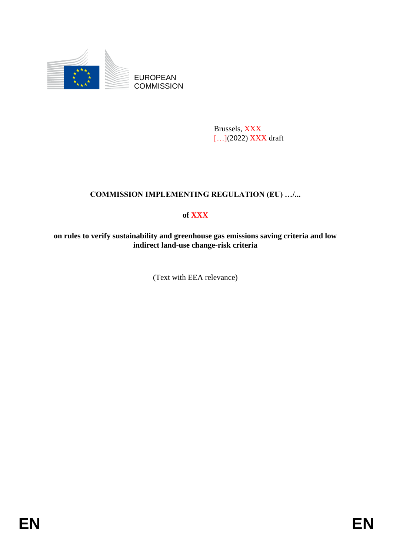

Brussels, XXX [...](2022) XXX draft

## **COMMISSION IMPLEMENTING REGULATION (EU) …/...**

## **of XXX**

**on rules to verify sustainability and greenhouse gas emissions saving criteria and low indirect land-use change-risk criteria**

(Text with EEA relevance)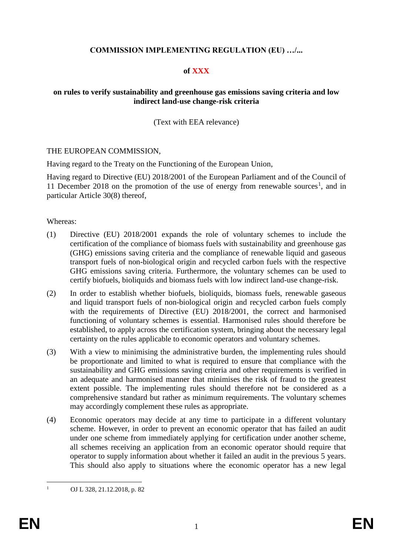### **COMMISSION IMPLEMENTING REGULATION (EU) …/...**

#### **of XXX**

#### **on rules to verify sustainability and greenhouse gas emissions saving criteria and low indirect land-use change-risk criteria**

(Text with EEA relevance)

#### THE EUROPEAN COMMISSION,

Having regard to the Treaty on the Functioning of the European Union,

Having regard to Directive (EU) 2018/2001 of the European Parliament and of the Council of 11 December 2018 on the promotion of the use of energy from renewable sources<sup>1</sup>, and in particular Article 30(8) thereof,

Whereas:

- (1) Directive (EU) 2018/2001 expands the role of voluntary schemes to include the certification of the compliance of biomass fuels with sustainability and greenhouse gas (GHG) emissions saving criteria and the compliance of renewable liquid and gaseous transport fuels of non-biological origin and recycled carbon fuels with the respective GHG emissions saving criteria. Furthermore, the voluntary schemes can be used to certify biofuels, bioliquids and biomass fuels with low indirect land-use change-risk.
- (2) In order to establish whether biofuels, bioliquids, biomass fuels, renewable gaseous and liquid transport fuels of non-biological origin and recycled carbon fuels comply with the requirements of Directive (EU) 2018/2001, the correct and harmonised functioning of voluntary schemes is essential. Harmonised rules should therefore be established, to apply across the certification system, bringing about the necessary legal certainty on the rules applicable to economic operators and voluntary schemes.
- (3) With a view to minimising the administrative burden, the implementing rules should be proportionate and limited to what is required to ensure that compliance with the sustainability and GHG emissions saving criteria and other requirements is verified in an adequate and harmonised manner that minimises the risk of fraud to the greatest extent possible. The implementing rules should therefore not be considered as a comprehensive standard but rather as minimum requirements. The voluntary schemes may accordingly complement these rules as appropriate.
- (4) Economic operators may decide at any time to participate in a different voluntary scheme. However, in order to prevent an economic operator that has failed an audit under one scheme from immediately applying for certification under another scheme, all schemes receiving an application from an economic operator should require that operator to supply information about whether it failed an audit in the previous 5 years. This should also apply to situations where the economic operator has a new legal

 $\mathbf{1}$ <sup>1</sup> OJ L 328, 21.12.2018, p. 82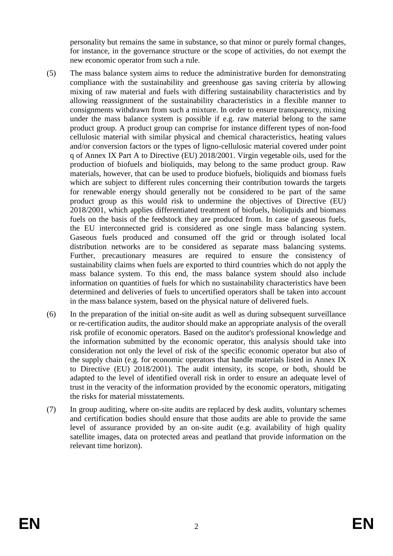personality but remains the same in substance, so that minor or purely formal changes, for instance, in the governance structure or the scope of activities, do not exempt the new economic operator from such a rule.

- (5) The mass balance system aims to reduce the administrative burden for demonstrating compliance with the sustainability and greenhouse gas saving criteria by allowing mixing of raw material and fuels with differing sustainability characteristics and by allowing reassignment of the sustainability characteristics in a flexible manner to consignments withdrawn from such a mixture. In order to ensure transparency, mixing under the mass balance system is possible if e.g. raw material belong to the same product group. A product group can comprise for instance different types of non-food cellulosic material with similar physical and chemical characteristics, heating values and/or conversion factors or the types of ligno-cellulosic material covered under point q of Annex IX Part A to Directive (EU) 2018/2001. Virgin vegetable oils, used for the production of biofuels and bioliquids, may belong to the same product group. Raw materials, however, that can be used to produce biofuels, bioliquids and biomass fuels which are subject to different rules concerning their contribution towards the targets for renewable energy should generally not be considered to be part of the same product group as this would risk to undermine the objectives of Directive (EU) 2018/2001, which applies differentiated treatment of biofuels, bioliquids and biomass fuels on the basis of the feedstock they are produced from. In case of gaseous fuels, the EU interconnected grid is considered as one single mass balancing system. Gaseous fuels produced and consumed off the grid or through isolated local distribution networks are to be considered as separate mass balancing systems. Further, precautionary measures are required to ensure the consistency of sustainability claims when fuels are exported to third countries which do not apply the mass balance system. To this end, the mass balance system should also include information on quantities of fuels for which no sustainability characteristics have been determined and deliveries of fuels to uncertified operators shall be taken into account in the mass balance system, based on the physical nature of delivered fuels.
- (6) In the preparation of the initial on-site audit as well as during subsequent surveillance or re-certification audits, the auditor should make an appropriate analysis of the overall risk profile of economic operators. Based on the auditor's professional knowledge and the information submitted by the economic operator, this analysis should take into consideration not only the level of risk of the specific economic operator but also of the supply chain (e.g. for economic operators that handle materials listed in Annex IX to Directive (EU) 2018/2001). The audit intensity, its scope, or both, should be adapted to the level of identified overall risk in order to ensure an adequate level of trust in the veracity of the information provided by the economic operators, mitigating the risks for material misstatements.
- (7) In group auditing, where on-site audits are replaced by desk audits, voluntary schemes and certification bodies should ensure that those audits are able to provide the same level of assurance provided by an on-site audit (e.g. availability of high quality satellite images, data on protected areas and peatland that provide information on the relevant time horizon).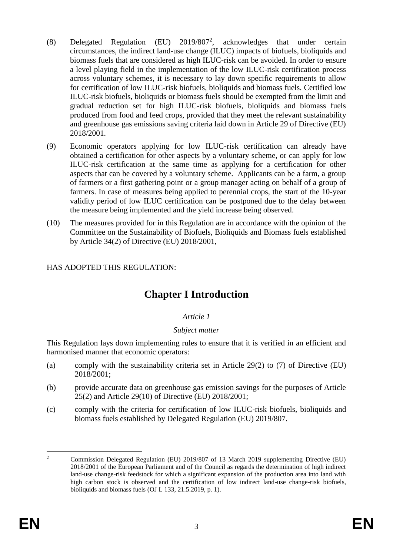- (8) Delegated Regulation (EU) 2019/807<sup>2</sup> , acknowledges that under certain circumstances, the indirect land-use change (ILUC) impacts of biofuels, bioliquids and biomass fuels that are considered as high ILUC-risk can be avoided. In order to ensure a level playing field in the implementation of the low ILUC-risk certification process across voluntary schemes, it is necessary to lay down specific requirements to allow for certification of low ILUC-risk biofuels, bioliquids and biomass fuels. Certified low ILUC-risk biofuels, bioliquids or biomass fuels should be exempted from the limit and gradual reduction set for high ILUC-risk biofuels, bioliquids and biomass fuels produced from food and feed crops, provided that they meet the relevant sustainability and greenhouse gas emissions saving criteria laid down in Article 29 of Directive (EU) 2018/2001.
- (9) Economic operators applying for low ILUC-risk certification can already have obtained a certification for other aspects by a voluntary scheme, or can apply for low ILUC-risk certification at the same time as applying for a certification for other aspects that can be covered by a voluntary scheme. Applicants can be a farm, a group of farmers or a first gathering point or a group manager acting on behalf of a group of farmers. In case of measures being applied to perennial crops, the start of the 10-year validity period of low ILUC certification can be postponed due to the delay between the measure being implemented and the yield increase being observed.
- (10) The measures provided for in this Regulation are in accordance with the opinion of the Committee on the Sustainability of Biofuels, Bioliquids and Biomass fuels established by Article 34(2) of Directive (EU) 2018/2001,

## HAS ADOPTED THIS REGULATION:

# **Chapter I Introduction**

## *Article 1*

## *Subject matter*

This Regulation lays down implementing rules to ensure that it is verified in an efficient and harmonised manner that economic operators:

- (a) comply with the sustainability criteria set in Article 29(2) to (7) of Directive (EU) 2018/2001;
- (b) provide accurate data on greenhouse gas emission savings for the purposes of Article 25(2) and Article 29(10) of Directive (EU) 2018/2001;
- (c) comply with the criteria for certification of low ILUC-risk biofuels, bioliquids and biomass fuels established by Delegated Regulation (EU) 2019/807.

 $\overline{2}$ <sup>2</sup> Commission Delegated Regulation (EU) 2019/807 of 13 March 2019 supplementing Directive (EU) 2018/2001 of the European Parliament and of the Council as regards the determination of high indirect land-use change-risk feedstock for which a significant expansion of the production area into land with high carbon stock is observed and the certification of low indirect land-use change-risk biofuels, bioliquids and biomass fuels (OJ L 133, 21.5.2019, p. 1).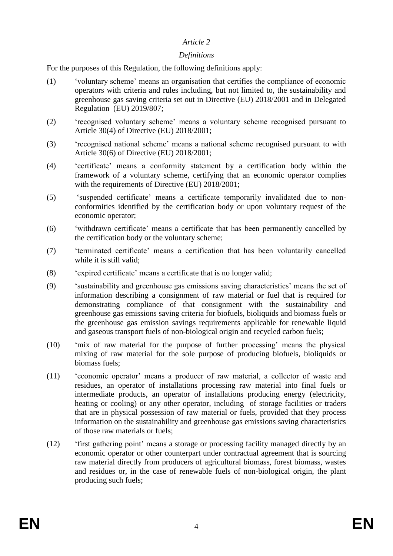#### *Definitions*

For the purposes of this Regulation, the following definitions apply:

- (1) 'voluntary scheme' means an organisation that certifies the compliance of economic operators with criteria and rules including, but not limited to, the sustainability and greenhouse gas saving criteria set out in Directive (EU) 2018/2001 and in Delegated Regulation (EU) 2019/807;
- (2) 'recognised voluntary scheme' means a voluntary scheme recognised pursuant to Article 30(4) of Directive (EU) 2018/2001;
- (3) 'recognised national scheme' means a national scheme recognised pursuant to with Article 30(6) of Directive (EU) 2018/2001;
- (4) 'certificate' means a conformity statement by a certification body within the framework of a voluntary scheme, certifying that an economic operator complies with the requirements of Directive (EU) 2018/2001;
- (5) 'suspended certificate' means a certificate temporarily invalidated due to nonconformities identified by the certification body or upon voluntary request of the economic operator;
- (6) 'withdrawn certificate' means a certificate that has been permanently cancelled by the certification body or the voluntary scheme;
- (7) 'terminated certificate' means a certification that has been voluntarily cancelled while it is still valid;
- (8) 'expired certificate' means a certificate that is no longer valid;
- (9) 'sustainability and greenhouse gas emissions saving characteristics' means the set of information describing a consignment of raw material or fuel that is required for demonstrating compliance of that consignment with the sustainability and greenhouse gas emissions saving criteria for biofuels, bioliquids and biomass fuels or the greenhouse gas emission savings requirements applicable for renewable liquid and gaseous transport fuels of non-biological origin and recycled carbon fuels;
- (10) 'mix of raw material for the purpose of further processing' means the physical mixing of raw material for the sole purpose of producing biofuels, bioliquids or biomass fuels;
- (11) 'economic operator' means a producer of raw material, a collector of waste and residues, an operator of installations processing raw material into final fuels or intermediate products, an operator of installations producing energy (electricity, heating or cooling) or any other operator, including of storage facilities or traders that are in physical possession of raw material or fuels, provided that they process information on the sustainability and greenhouse gas emissions saving characteristics of those raw materials or fuels;
- (12) 'first gathering point' means a storage or processing facility managed directly by an economic operator or other counterpart under contractual agreement that is sourcing raw material directly from producers of agricultural biomass, forest biomass, wastes and residues or, in the case of renewable fuels of non-biological origin, the plant producing such fuels;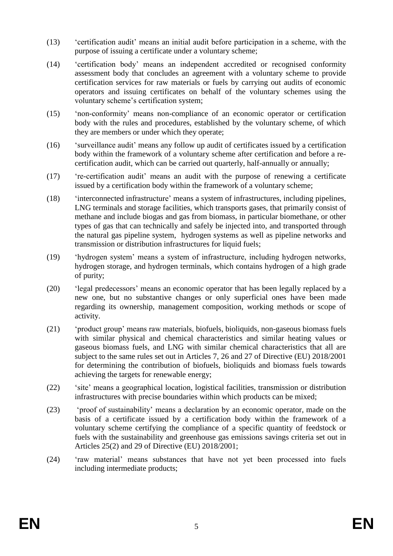- (13) 'certification audit' means an initial audit before participation in a scheme, with the purpose of issuing a certificate under a voluntary scheme;
- (14) 'certification body' means an independent accredited or recognised conformity assessment body that concludes an agreement with a voluntary scheme to provide certification services for raw materials or fuels by carrying out audits of economic operators and issuing certificates on behalf of the voluntary schemes using the voluntary scheme's certification system;
- (15) 'non-conformity' means non-compliance of an economic operator or certification body with the rules and procedures, established by the voluntary scheme, of which they are members or under which they operate;
- (16) 'surveillance audit' means any follow up audit of certificates issued by a certification body within the framework of a voluntary scheme after certification and before a recertification audit, which can be carried out quarterly, half-annually or annually;
- (17) 're-certification audit' means an audit with the purpose of renewing a certificate issued by a certification body within the framework of a voluntary scheme;
- (18) 'interconnected infrastructure' means a system of infrastructures, including pipelines, LNG terminals and storage facilities, which transports gases, that primarily consist of methane and include biogas and gas from biomass, in particular biomethane, or other types of gas that can technically and safely be injected into, and transported through the natural gas pipeline system, hydrogen systems as well as pipeline networks and transmission or distribution infrastructures for liquid fuels;
- (19) 'hydrogen system' means a system of infrastructure, including hydrogen networks, hydrogen storage, and hydrogen terminals, which contains hydrogen of a high grade of purity;
- (20) 'legal predecessors' means an economic operator that has been legally replaced by a new one, but no substantive changes or only superficial ones have been made regarding its ownership, management composition, working methods or scope of activity.
- (21) 'product group' means raw materials, biofuels, bioliquids, non-gaseous biomass fuels with similar physical and chemical characteristics and similar heating values or gaseous biomass fuels, and LNG with similar chemical characteristics that all are subject to the same rules set out in Articles 7, 26 and 27 of Directive (EU) 2018/2001 for determining the contribution of biofuels, bioliquids and biomass fuels towards achieving the targets for renewable energy;
- (22) 'site' means a geographical location, logistical facilities, transmission or distribution infrastructures with precise boundaries within which products can be mixed;
- (23) 'proof of sustainability' means a declaration by an economic operator, made on the basis of a certificate issued by a certification body within the framework of a voluntary scheme certifying the compliance of a specific quantity of feedstock or fuels with the sustainability and greenhouse gas emissions savings criteria set out in Articles 25(2) and 29 of Directive (EU) 2018/2001;
- (24) 'raw material' means substances that have not yet been processed into fuels including intermediate products;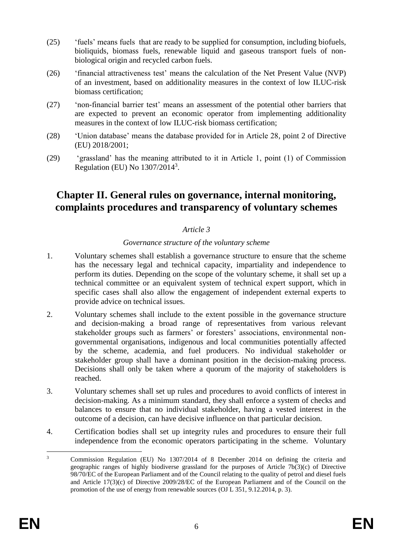- (25) 'fuels' means fuels that are ready to be supplied for consumption, including biofuels, bioliquids, biomass fuels, renewable liquid and gaseous transport fuels of nonbiological origin and recycled carbon fuels.
- (26) 'financial attractiveness test' means the calculation of the Net Present Value (NVP) of an investment, based on additionality measures in the context of low ILUC-risk biomass certification;
- (27) 'non-financial barrier test' means an assessment of the potential other barriers that are expected to prevent an economic operator from implementing additionality measures in the context of low ILUC-risk biomass certification;
- (28) 'Union database' means the database provided for in Article 28, point 2 of Directive (EU) 2018/2001;
- (29) 'grassland' has the meaning attributed to it in Article 1, point (1) of Commission Regulation (EU) No 1307/2014<sup>3</sup> .

# **Chapter II. General rules on governance, internal monitoring, complaints procedures and transparency of voluntary schemes**

## *Article 3*

#### *Governance structure of the voluntary scheme*

- 1. Voluntary schemes shall establish a governance structure to ensure that the scheme has the necessary legal and technical capacity, impartiality and independence to perform its duties. Depending on the scope of the voluntary scheme, it shall set up a technical committee or an equivalent system of technical expert support, which in specific cases shall also allow the engagement of independent external experts to provide advice on technical issues.
- 2. Voluntary schemes shall include to the extent possible in the governance structure and decision-making a broad range of representatives from various relevant stakeholder groups such as farmers' or foresters' associations, environmental nongovernmental organisations, indigenous and local communities potentially affected by the scheme, academia, and fuel producers. No individual stakeholder or stakeholder group shall have a dominant position in the decision-making process. Decisions shall only be taken where a quorum of the majority of stakeholders is reached.
- 3. Voluntary schemes shall set up rules and procedures to avoid conflicts of interest in decision-making. As a minimum standard, they shall enforce a system of checks and balances to ensure that no individual stakeholder, having a vested interest in the outcome of a decision, can have decisive influence on that particular decision.
- 4. Certification bodies shall set up integrity rules and procedures to ensure their full independence from the economic operators participating in the scheme. Voluntary

 $\overline{\mathbf{3}}$ <sup>3</sup> Commission Regulation (EU) No 1307/2014 of 8 December 2014 on defining the criteria and geographic ranges of highly biodiverse grassland for the purposes of Article 7b(3)(c) of Directive 98/70/EC of the European Parliament and of the Council relating to the quality of petrol and diesel fuels and Article 17(3)(c) of Directive 2009/28/EC of the European Parliament and of the Council on the promotion of the use of energy from renewable sources (OJ L 351, 9.12.2014, p. 3).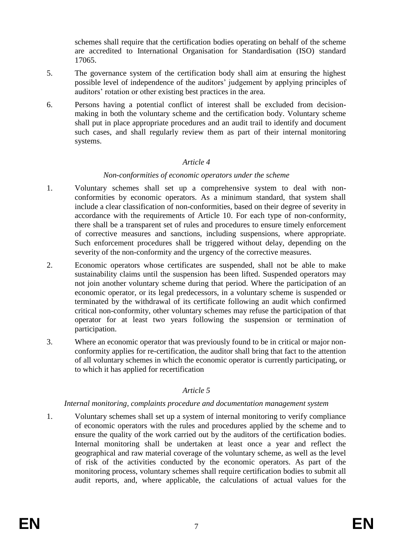schemes shall require that the certification bodies operating on behalf of the scheme are accredited to International Organisation for Standardisation (ISO) standard 17065.

- 5. The governance system of the certification body shall aim at ensuring the highest possible level of independence of the auditors' judgement by applying principles of auditors' rotation or other existing best practices in the area.
- 6. Persons having a potential conflict of interest shall be excluded from decisionmaking in both the voluntary scheme and the certification body. Voluntary scheme shall put in place appropriate procedures and an audit trail to identify and document such cases, and shall regularly review them as part of their internal monitoring systems.

#### *Article 4*

#### *Non-conformities of economic operators under the scheme*

- 1. Voluntary schemes shall set up a comprehensive system to deal with nonconformities by economic operators. As a minimum standard, that system shall include a clear classification of non-conformities, based on their degree of severity in accordance with the requirements of Article 10. For each type of non-conformity, there shall be a transparent set of rules and procedures to ensure timely enforcement of corrective measures and sanctions, including suspensions, where appropriate. Such enforcement procedures shall be triggered without delay, depending on the severity of the non-conformity and the urgency of the corrective measures.
- 2. Economic operators whose certificates are suspended, shall not be able to make sustainability claims until the suspension has been lifted. Suspended operators may not join another voluntary scheme during that period. Where the participation of an economic operator, or its legal predecessors, in a voluntary scheme is suspended or terminated by the withdrawal of its certificate following an audit which confirmed critical non-conformity, other voluntary schemes may refuse the participation of that operator for at least two years following the suspension or termination of participation.
- 3. Where an economic operator that was previously found to be in critical or major nonconformity applies for re-certification, the auditor shall bring that fact to the attention of all voluntary schemes in which the economic operator is currently participating, or to which it has applied for recertification

## *Article 5*

#### *Internal monitoring, complaints procedure and documentation management system*

1. Voluntary schemes shall set up a system of internal monitoring to verify compliance of economic operators with the rules and procedures applied by the scheme and to ensure the quality of the work carried out by the auditors of the certification bodies. Internal monitoring shall be undertaken at least once a year and reflect the geographical and raw material coverage of the voluntary scheme, as well as the level of risk of the activities conducted by the economic operators. As part of the monitoring process, voluntary schemes shall require certification bodies to submit all audit reports, and, where applicable, the calculations of actual values for the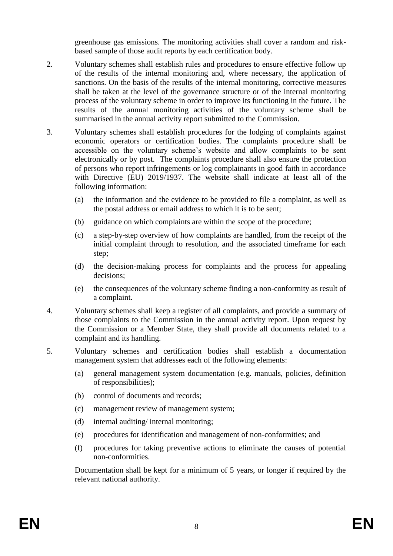greenhouse gas emissions. The monitoring activities shall cover a random and riskbased sample of those audit reports by each certification body.

- 2. Voluntary schemes shall establish rules and procedures to ensure effective follow up of the results of the internal monitoring and, where necessary, the application of sanctions. On the basis of the results of the internal monitoring, corrective measures shall be taken at the level of the governance structure or of the internal monitoring process of the voluntary scheme in order to improve its functioning in the future. The results of the annual monitoring activities of the voluntary scheme shall be summarised in the annual activity report submitted to the Commission.
- 3. Voluntary schemes shall establish procedures for the lodging of complaints against economic operators or certification bodies. The complaints procedure shall be accessible on the voluntary scheme's website and allow complaints to be sent electronically or by post. The complaints procedure shall also ensure the protection of persons who report infringements or log complainants in good faith in accordance with Directive (EU) 2019/1937. The website shall indicate at least all of the following information:
	- (a) the information and the evidence to be provided to file a complaint, as well as the postal address or email address to which it is to be sent;
	- (b) guidance on which complaints are within the scope of the procedure;
	- (c) a step-by-step overview of how complaints are handled, from the receipt of the initial complaint through to resolution, and the associated timeframe for each step;
	- (d) the decision-making process for complaints and the process for appealing decisions;
	- (e) the consequences of the voluntary scheme finding a non-conformity as result of a complaint.
- 4. Voluntary schemes shall keep a register of all complaints, and provide a summary of those complaints to the Commission in the annual activity report. Upon request by the Commission or a Member State, they shall provide all documents related to a complaint and its handling.
- 5. Voluntary schemes and certification bodies shall establish a documentation management system that addresses each of the following elements:
	- (a) general management system documentation (e.g. manuals, policies, definition of responsibilities);
	- (b) control of documents and records;
	- (c) management review of management system;
	- (d) internal auditing/ internal monitoring;
	- (e) procedures for identification and management of non-conformities; and
	- (f) procedures for taking preventive actions to eliminate the causes of potential non-conformities.

Documentation shall be kept for a minimum of 5 years, or longer if required by the relevant national authority.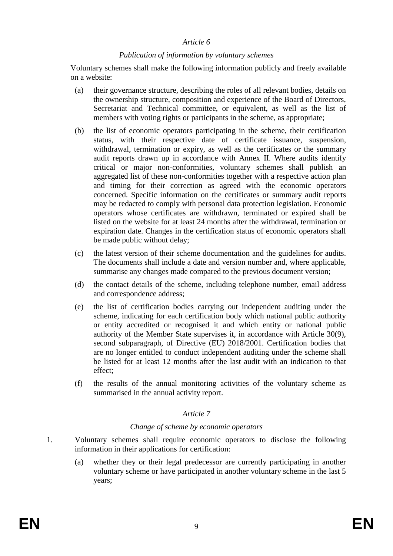#### *Publication of information by voluntary schemes*

Voluntary schemes shall make the following information publicly and freely available on a website:

- (a) their governance structure, describing the roles of all relevant bodies, details on the ownership structure, composition and experience of the Board of Directors, Secretariat and Technical committee, or equivalent, as well as the list of members with voting rights or participants in the scheme, as appropriate;
- (b) the list of economic operators participating in the scheme, their certification status, with their respective date of certificate issuance, suspension, withdrawal, termination or expiry, as well as the certificates or the summary audit reports drawn up in accordance with Annex II. Where audits identify critical or major non-conformities, voluntary schemes shall publish an aggregated list of these non-conformities together with a respective action plan and timing for their correction as agreed with the economic operators concerned. Specific information on the certificates or summary audit reports may be redacted to comply with personal data protection legislation. Economic operators whose certificates are withdrawn, terminated or expired shall be listed on the website for at least 24 months after the withdrawal, termination or expiration date. Changes in the certification status of economic operators shall be made public without delay;
- (c) the latest version of their scheme documentation and the guidelines for audits. The documents shall include a date and version number and, where applicable, summarise any changes made compared to the previous document version;
- (d) the contact details of the scheme, including telephone number, email address and correspondence address;
- (e) the list of certification bodies carrying out independent auditing under the scheme, indicating for each certification body which national public authority or entity accredited or recognised it and which entity or national public authority of the Member State supervises it, in accordance with Article 30(9), second subparagraph, of Directive (EU) 2018/2001. Certification bodies that are no longer entitled to conduct independent auditing under the scheme shall be listed for at least 12 months after the last audit with an indication to that effect;
- (f) the results of the annual monitoring activities of the voluntary scheme as summarised in the annual activity report.

#### *Article 7*

#### *Change of scheme by economic operators*

- 1. Voluntary schemes shall require economic operators to disclose the following information in their applications for certification:
	- (a) whether they or their legal predecessor are currently participating in another voluntary scheme or have participated in another voluntary scheme in the last 5 years;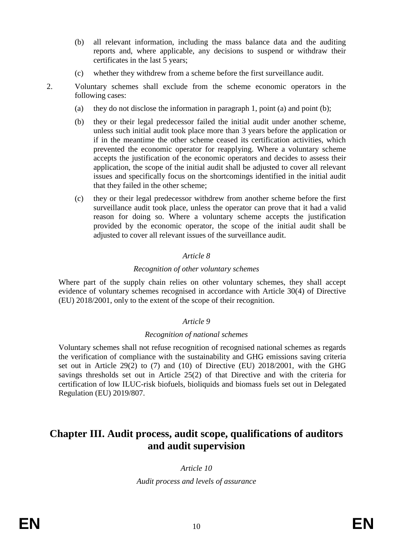- (b) all relevant information, including the mass balance data and the auditing reports and, where applicable, any decisions to suspend or withdraw their certificates in the last 5 years;
- (c) whether they withdrew from a scheme before the first surveillance audit.

- 2. Voluntary schemes shall exclude from the scheme economic operators in the following cases:
	- (a) they do not disclose the information in paragraph 1, point (a) and point (b);
	- (b) they or their legal predecessor failed the initial audit under another scheme, unless such initial audit took place more than 3 years before the application or if in the meantime the other scheme ceased its certification activities, which prevented the economic operator for reapplying. Where a voluntary scheme accepts the justification of the economic operators and decides to assess their application, the scope of the initial audit shall be adjusted to cover all relevant issues and specifically focus on the shortcomings identified in the initial audit that they failed in the other scheme;
	- (c) they or their legal predecessor withdrew from another scheme before the first surveillance audit took place, unless the operator can prove that it had a valid reason for doing so. Where a voluntary scheme accepts the justification provided by the economic operator, the scope of the initial audit shall be adjusted to cover all relevant issues of the surveillance audit.

#### *Recognition of other voluntary schemes*

Where part of the supply chain relies on other voluntary schemes, they shall accept evidence of voluntary schemes recognised in accordance with Article 30(4) of Directive (EU) 2018/2001, only to the extent of the scope of their recognition.

#### *Article 9*

#### *Recognition of national schemes*

Voluntary schemes shall not refuse recognition of recognised national schemes as regards the verification of compliance with the sustainability and GHG emissions saving criteria set out in Article 29(2) to (7) and (10) of Directive (EU) 2018/2001, with the GHG savings thresholds set out in Article 25(2) of that Directive and with the criteria for certification of low ILUC-risk biofuels, bioliquids and biomass fuels set out in Delegated Regulation (EU) 2019/807.

# **Chapter III. Audit process, audit scope, qualifications of auditors and audit supervision**

*Article 10 Audit process and levels of assurance*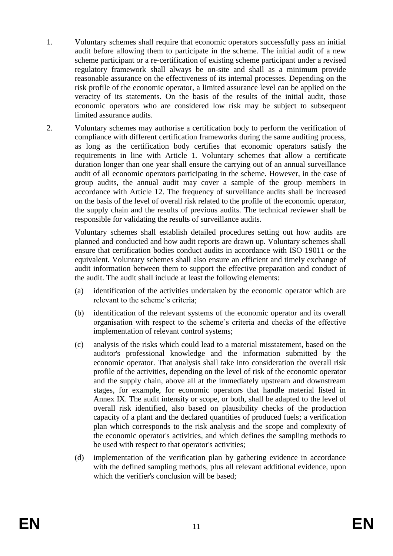- 1. Voluntary schemes shall require that economic operators successfully pass an initial audit before allowing them to participate in the scheme. The initial audit of a new scheme participant or a re-certification of existing scheme participant under a revised regulatory framework shall always be on-site and shall as a minimum provide reasonable assurance on the effectiveness of its internal processes. Depending on the risk profile of the economic operator, a limited assurance level can be applied on the veracity of its statements. On the basis of the results of the initial audit, those economic operators who are considered low risk may be subject to subsequent limited assurance audits.
- 2. Voluntary schemes may authorise a certification body to perform the verification of compliance with different certification frameworks during the same auditing process, as long as the certification body certifies that economic operators satisfy the requirements in line with Article 1. Voluntary schemes that allow a certificate duration longer than one year shall ensure the carrying out of an annual surveillance audit of all economic operators participating in the scheme. However, in the case of group audits, the annual audit may cover a sample of the group members in accordance with Article 12. The frequency of surveillance audits shall be increased on the basis of the level of overall risk related to the profile of the economic operator, the supply chain and the results of previous audits. The technical reviewer shall be responsible for validating the results of surveillance audits.

Voluntary schemes shall establish detailed procedures setting out how audits are planned and conducted and how audit reports are drawn up. Voluntary schemes shall ensure that certification bodies conduct audits in accordance with ISO 19011 or the equivalent. Voluntary schemes shall also ensure an efficient and timely exchange of audit information between them to support the effective preparation and conduct of the audit. The audit shall include at least the following elements:

- (a) identification of the activities undertaken by the economic operator which are relevant to the scheme's criteria;
- (b) identification of the relevant systems of the economic operator and its overall organisation with respect to the scheme's criteria and checks of the effective implementation of relevant control systems;
- (c) analysis of the risks which could lead to a material misstatement, based on the auditor's professional knowledge and the information submitted by the economic operator. That analysis shall take into consideration the overall risk profile of the activities, depending on the level of risk of the economic operator and the supply chain, above all at the immediately upstream and downstream stages, for example, for economic operators that handle material listed in Annex IX. The audit intensity or scope, or both, shall be adapted to the level of overall risk identified, also based on plausibility checks of the production capacity of a plant and the declared quantities of produced fuels; a verification plan which corresponds to the risk analysis and the scope and complexity of the economic operator's activities, and which defines the sampling methods to be used with respect to that operator's activities;
- (d) implementation of the verification plan by gathering evidence in accordance with the defined sampling methods, plus all relevant additional evidence, upon which the verifier's conclusion will be based: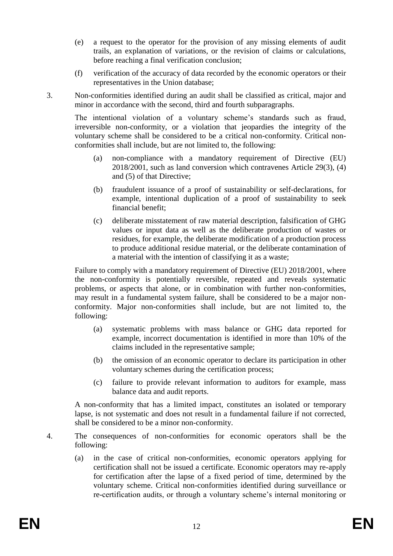- (e) a request to the operator for the provision of any missing elements of audit trails, an explanation of variations, or the revision of claims or calculations, before reaching a final verification conclusion;
- (f) verification of the accuracy of data recorded by the economic operators or their representatives in the Union database;
- 3. Non-conformities identified during an audit shall be classified as critical, major and minor in accordance with the second, third and fourth subparagraphs.

The intentional violation of a voluntary scheme's standards such as fraud, irreversible non-conformity, or a violation that jeopardies the integrity of the voluntary scheme shall be considered to be a critical non-conformity. Critical nonconformities shall include, but are not limited to, the following:

- (a) non-compliance with a mandatory requirement of Directive (EU) 2018/2001, such as land conversion which contravenes Article 29(3), (4) and (5) of that Directive;
- (b) fraudulent issuance of a proof of sustainability or self-declarations, for example, intentional duplication of a proof of sustainability to seek financial benefit;
- (c) deliberate misstatement of raw material description, falsification of GHG values or input data as well as the deliberate production of wastes or residues, for example, the deliberate modification of a production process to produce additional residue material, or the deliberate contamination of a material with the intention of classifying it as a waste;

Failure to comply with a mandatory requirement of Directive (EU) 2018/2001, where the non-conformity is potentially reversible, repeated and reveals systematic problems, or aspects that alone, or in combination with further non-conformities, may result in a fundamental system failure, shall be considered to be a major nonconformity. Major non-conformities shall include, but are not limited to, the following:

- (a) systematic problems with mass balance or GHG data reported for example, incorrect documentation is identified in more than 10% of the claims included in the representative sample;
- (b) the omission of an economic operator to declare its participation in other voluntary schemes during the certification process;
- (c) failure to provide relevant information to auditors for example, mass balance data and audit reports.

A non-conformity that has a limited impact, constitutes an isolated or temporary lapse, is not systematic and does not result in a fundamental failure if not corrected, shall be considered to be a minor non-conformity.

- 4. The consequences of non-conformities for economic operators shall be the following:
	- (a) in the case of critical non-conformities, economic operators applying for certification shall not be issued a certificate. Economic operators may re-apply for certification after the lapse of a fixed period of time, determined by the voluntary scheme. Critical non-conformities identified during surveillance or re-certification audits, or through a voluntary scheme's internal monitoring or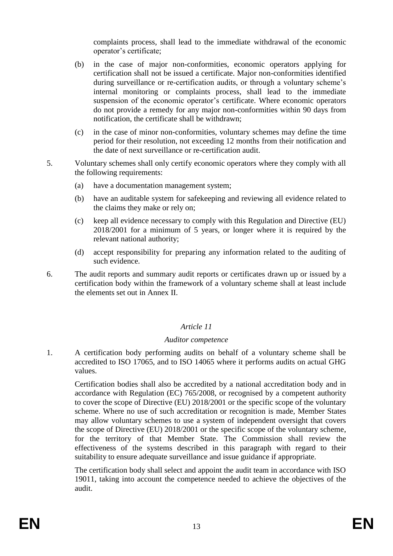complaints process, shall lead to the immediate withdrawal of the economic operator's certificate;

- (b) in the case of major non-conformities, economic operators applying for certification shall not be issued a certificate. Major non-conformities identified during surveillance or re-certification audits, or through a voluntary scheme's internal monitoring or complaints process, shall lead to the immediate suspension of the economic operator's certificate. Where economic operators do not provide a remedy for any major non-conformities within 90 days from notification, the certificate shall be withdrawn;
- (c) in the case of minor non-conformities, voluntary schemes may define the time period for their resolution, not exceeding 12 months from their notification and the date of next surveillance or re-certification audit.
- 5. Voluntary schemes shall only certify economic operators where they comply with all the following requirements:
	- (a) have a documentation management system;
	- (b) have an auditable system for safekeeping and reviewing all evidence related to the claims they make or rely on;
	- (c) keep all evidence necessary to comply with this Regulation and Directive (EU) 2018/2001 for a minimum of 5 years, or longer where it is required by the relevant national authority;
	- (d) accept responsibility for preparing any information related to the auditing of such evidence.
- 6. The audit reports and summary audit reports or certificates drawn up or issued by a certification body within the framework of a voluntary scheme shall at least include the elements set out in Annex II.

## *Article 11*

## *Auditor competence*

1. A certification body performing audits on behalf of a voluntary scheme shall be accredited to ISO 17065, and to ISO 14065 where it performs audits on actual GHG values.

Certification bodies shall also be accredited by a national accreditation body and in accordance with Regulation (EC) 765/2008, or recognised by a competent authority to cover the scope of Directive (EU) 2018/2001 or the specific scope of the voluntary scheme. Where no use of such accreditation or recognition is made, Member States may allow voluntary schemes to use a system of independent oversight that covers the scope of Directive (EU) 2018/2001 or the specific scope of the voluntary scheme, for the territory of that Member State. The Commission shall review the effectiveness of the systems described in this paragraph with regard to their suitability to ensure adequate surveillance and issue guidance if appropriate.

The certification body shall select and appoint the audit team in accordance with ISO 19011, taking into account the competence needed to achieve the objectives of the audit.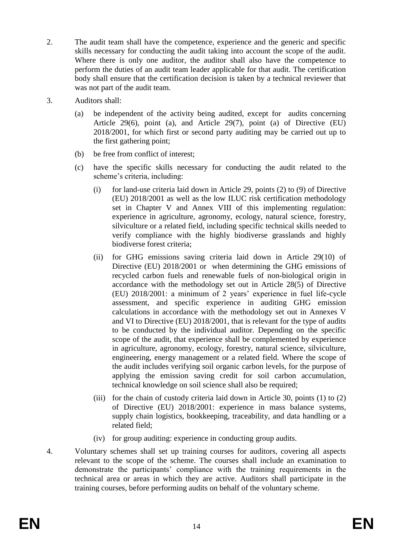- 2. The audit team shall have the competence, experience and the generic and specific skills necessary for conducting the audit taking into account the scope of the audit. Where there is only one auditor, the auditor shall also have the competence to perform the duties of an audit team leader applicable for that audit. The certification body shall ensure that the certification decision is taken by a technical reviewer that was not part of the audit team.
- 3. Auditors shall:
	- (a) be independent of the activity being audited, except for audits concerning Article 29(6), point (a), and Article 29(7), point (a) of Directive (EU) 2018/2001, for which first or second party auditing may be carried out up to the first gathering point;
	- (b) be free from conflict of interest;
	- (c) have the specific skills necessary for conducting the audit related to the scheme's criteria, including:
		- (i) for land-use criteria laid down in Article 29, points (2) to (9) of Directive (EU) 2018/2001 as well as the low ILUC risk certification methodology set in Chapter V and Annex VIII of this implementing regulation: experience in agriculture, agronomy, ecology, natural science, forestry, silviculture or a related field, including specific technical skills needed to verify compliance with the highly biodiverse grasslands and highly biodiverse forest criteria;
		- (ii) for GHG emissions saving criteria laid down in Article 29(10) of Directive (EU) 2018/2001 or when determining the GHG emissions of recycled carbon fuels and renewable fuels of non-biological origin in accordance with the methodology set out in Article 28(5) of Directive (EU) 2018/2001: a minimum of 2 years' experience in fuel life-cycle assessment, and specific experience in auditing GHG emission calculations in accordance with the methodology set out in Annexes V and VI to Directive (EU) 2018/2001, that is relevant for the type of audits to be conducted by the individual auditor. Depending on the specific scope of the audit, that experience shall be complemented by experience in agriculture, agronomy, ecology, forestry, natural science, silviculture, engineering, energy management or a related field. Where the scope of the audit includes verifying soil organic carbon levels, for the purpose of applying the emission saving credit for soil carbon accumulation, technical knowledge on soil science shall also be required;
		- (iii) for the chain of custody criteria laid down in Article 30, points (1) to (2) of Directive (EU) 2018/2001: experience in mass balance systems, supply chain logistics, bookkeeping, traceability, and data handling or a related field;
		- (iv) for group auditing: experience in conducting group audits.
- 4. Voluntary schemes shall set up training courses for auditors, covering all aspects relevant to the scope of the scheme. The courses shall include an examination to demonstrate the participants' compliance with the training requirements in the technical area or areas in which they are active. Auditors shall participate in the training courses, before performing audits on behalf of the voluntary scheme.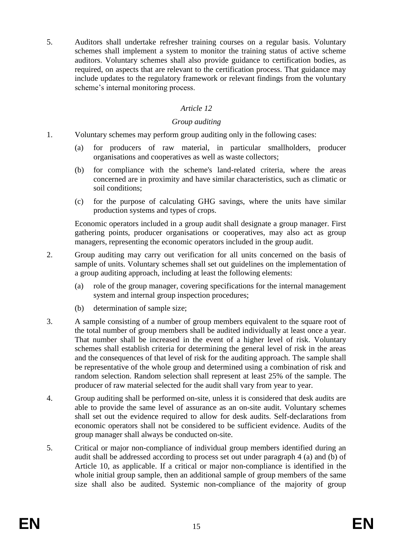5. Auditors shall undertake refresher training courses on a regular basis. Voluntary schemes shall implement a system to monitor the training status of active scheme auditors. Voluntary schemes shall also provide guidance to certification bodies, as required, on aspects that are relevant to the certification process. That guidance may include updates to the regulatory framework or relevant findings from the voluntary scheme's internal monitoring process.

## *Article 12*

### *Group auditing*

- 1. Voluntary schemes may perform group auditing only in the following cases:
	- (a) for producers of raw material, in particular smallholders, producer organisations and cooperatives as well as waste collectors;
	- (b) for compliance with the scheme's land-related criteria, where the areas concerned are in proximity and have similar characteristics, such as climatic or soil conditions;
	- (c) for the purpose of calculating GHG savings, where the units have similar production systems and types of crops.

Economic operators included in a group audit shall designate a group manager. First gathering points, producer organisations or cooperatives, may also act as group managers, representing the economic operators included in the group audit.

- 2. Group auditing may carry out verification for all units concerned on the basis of sample of units. Voluntary schemes shall set out guidelines on the implementation of a group auditing approach, including at least the following elements:
	- (a) role of the group manager, covering specifications for the internal management system and internal group inspection procedures;
	- (b) determination of sample size;
- 3. A sample consisting of a number of group members equivalent to the square root of the total number of group members shall be audited individually at least once a year. That number shall be increased in the event of a higher level of risk. Voluntary schemes shall establish criteria for determining the general level of risk in the areas and the consequences of that level of risk for the auditing approach. The sample shall be representative of the whole group and determined using a combination of risk and random selection. Random selection shall represent at least 25% of the sample. The producer of raw material selected for the audit shall vary from year to year.
- 4. Group auditing shall be performed on-site, unless it is considered that desk audits are able to provide the same level of assurance as an on-site audit. Voluntary schemes shall set out the evidence required to allow for desk audits. Self-declarations from economic operators shall not be considered to be sufficient evidence. Audits of the group manager shall always be conducted on-site.
- 5. Critical or major non-compliance of individual group members identified during an audit shall be addressed according to process set out under paragraph 4 (a) and (b) of Article 10, as applicable. If a critical or major non-compliance is identified in the whole initial group sample, then an additional sample of group members of the same size shall also be audited. Systemic non-compliance of the majority of group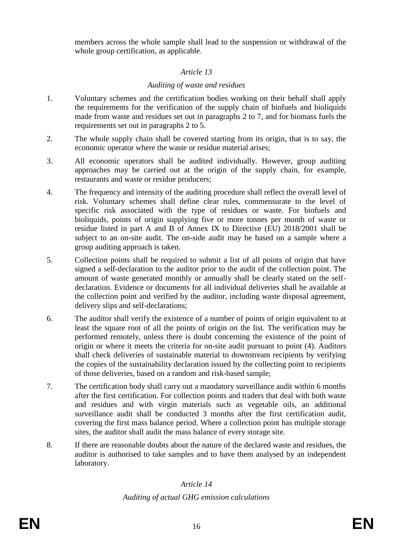members across the whole sample shall lead to the suspension or withdrawal of the whole group certification, as applicable.

## *Article 13*

## *Auditing of waste and residues*

- 1. Voluntary schemes and the certification bodies working on their behalf shall apply the requirements for the verification of the supply chain of biofuels and bioliquids made from waste and residues set out in paragraphs 2 to 7, and for biomass fuels the requirements set out in paragraphs 2 to 5.
- 2. The whole supply chain shall be covered starting from its origin, that is to say, the economic operator where the waste or residue material arises;
- 3. All economic operators shall be audited individually. However, group auditing approaches may be carried out at the origin of the supply chain, for example, restaurants and waste or residue producers;
- 4. The frequency and intensity of the auditing procedure shall reflect the overall level of risk. Voluntary schemes shall define clear rules, commensurate to the level of specific risk associated with the type of residues or waste. For biofuels and bioliquids, points of origin supplying five or more tonnes per month of waste or residue listed in part A and B of Annex IX to Directive (EU) 2018/2001 shall be subject to an on-site audit. The on-side audit may be based on a sample where a group auditing approach is taken.
- 5. Collection points shall be required to submit a list of all points of origin that have signed a self-declaration to the auditor prior to the audit of the collection point. The amount of waste generated monthly or annually shall be clearly stated on the selfdeclaration. Evidence or documents for all individual deliveries shall be available at the collection point and verified by the auditor, including waste disposal agreement, delivery slips and self-declarations;
- 6. The auditor shall verify the existence of a number of points of origin equivalent to at least the square root of all the points of origin on the list. The verification may be performed remotely, unless there is doubt concerning the existence of the point of origin or where it meets the criteria for on-site audit pursuant to point (4). Auditors shall check deliveries of sustainable material to downstream recipients by verifying the copies of the sustainability declaration issued by the collecting point to recipients of those deliveries, based on a random and risk-based sample;
- 7. The certification body shall carry out a mandatory surveillance audit within 6 months after the first certification. For collection points and traders that deal with both waste and residues and with virgin materials such as vegetable oils, an additional surveillance audit shall be conducted 3 months after the first certification audit, covering the first mass balance period. Where a collection point has multiple storage sites, the auditor shall audit the mass balance of every storage site.
- 8. If there are reasonable doubts about the nature of the declared waste and residues, the auditor is authorised to take samples and to have them analysed by an independent laboratory.

# *Article 14*

# *Auditing of actual GHG emission calculations*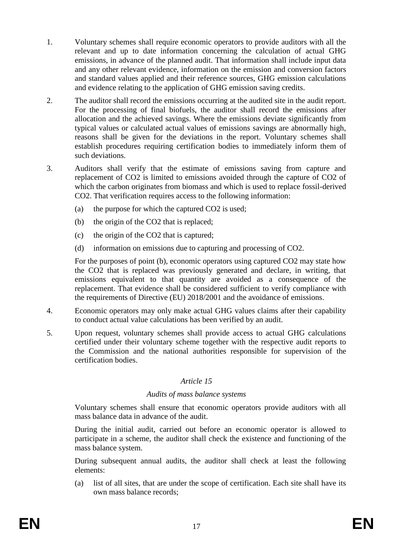- 1. Voluntary schemes shall require economic operators to provide auditors with all the relevant and up to date information concerning the calculation of actual GHG emissions, in advance of the planned audit. That information shall include input data and any other relevant evidence, information on the emission and conversion factors and standard values applied and their reference sources, GHG emission calculations and evidence relating to the application of GHG emission saving credits.
- 2. The auditor shall record the emissions occurring at the audited site in the audit report. For the processing of final biofuels, the auditor shall record the emissions after allocation and the achieved savings. Where the emissions deviate significantly from typical values or calculated actual values of emissions savings are abnormally high, reasons shall be given for the deviations in the report. Voluntary schemes shall establish procedures requiring certification bodies to immediately inform them of such deviations.
- 3. Auditors shall verify that the estimate of emissions saving from capture and replacement of CO2 is limited to emissions avoided through the capture of CO2 of which the carbon originates from biomass and which is used to replace fossil-derived CO2. That verification requires access to the following information:
	- (a) the purpose for which the captured CO2 is used;
	- (b) the origin of the CO2 that is replaced;
	- (c) the origin of the CO2 that is captured;
	- (d) information on emissions due to capturing and processing of CO2.

For the purposes of point (b), economic operators using captured CO2 may state how the CO2 that is replaced was previously generated and declare, in writing, that emissions equivalent to that quantity are avoided as a consequence of the replacement. That evidence shall be considered sufficient to verify compliance with the requirements of Directive (EU) 2018/2001 and the avoidance of emissions.

- 4. Economic operators may only make actual GHG values claims after their capability to conduct actual value calculations has been verified by an audit.
- 5. Upon request, voluntary schemes shall provide access to actual GHG calculations certified under their voluntary scheme together with the respective audit reports to the Commission and the national authorities responsible for supervision of the certification bodies.

## *Article 15*

#### *Audits of mass balance systems*

Voluntary schemes shall ensure that economic operators provide auditors with all mass balance data in advance of the audit.

During the initial audit, carried out before an economic operator is allowed to participate in a scheme, the auditor shall check the existence and functioning of the mass balance system.

During subsequent annual audits, the auditor shall check at least the following elements:

(a) list of all sites, that are under the scope of certification. Each site shall have its own mass balance records;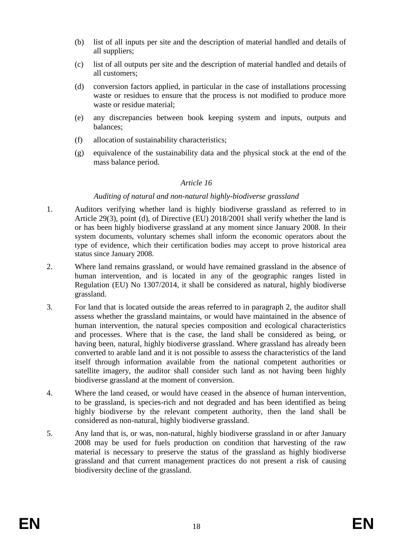- (b) list of all inputs per site and the description of material handled and details of all suppliers;
- (c) list of all outputs per site and the description of material handled and details of all customers;
- (d) conversion factors applied, in particular in the case of installations processing waste or residues to ensure that the process is not modified to produce more waste or residue material;
- (e) any discrepancies between book keeping system and inputs, outputs and balances;
- (f) allocation of sustainability characteristics;
- (g) equivalence of the sustainability data and the physical stock at the end of the mass balance period.

#### *Auditing of natural and non-natural highly-biodiverse grassland*

- 1. Auditors verifying whether land is highly biodiverse grassland as referred to in Article 29(3), point (d), of Directive (EU) 2018/2001 shall verify whether the land is or has been highly biodiverse grassland at any moment since January 2008. In their system documents, voluntary schemes shall inform the economic operators about the type of evidence, which their certification bodies may accept to prove historical area status since January 2008.
- 2. Where land remains grassland, or would have remained grassland in the absence of human intervention, and is located in any of the geographic ranges listed in Regulation (EU) No 1307/2014, it shall be considered as natural, highly biodiverse grassland.
- 3. For land that is located outside the areas referred to in paragraph 2, the auditor shall assess whether the grassland maintains, or would have maintained in the absence of human intervention, the natural species composition and ecological characteristics and processes. Where that is the case, the land shall be considered as being, or having been, natural, highly biodiverse grassland. Where grassland has already been converted to arable land and it is not possible to assess the characteristics of the land itself through information available from the national competent authorities or satellite imagery, the auditor shall consider such land as not having been highly biodiverse grassland at the moment of conversion.
- 4. Where the land ceased, or would have ceased in the absence of human intervention, to be grassland, is species-rich and not degraded and has been identified as being highly biodiverse by the relevant competent authority, then the land shall be considered as non-natural, highly biodiverse grassland.
- 5. Any land that is, or was, non-natural, highly biodiverse grassland in or after January 2008 may be used for fuels production on condition that harvesting of the raw material is necessary to preserve the status of the grassland as highly biodiverse grassland and that current management practices do not present a risk of causing biodiversity decline of the grassland.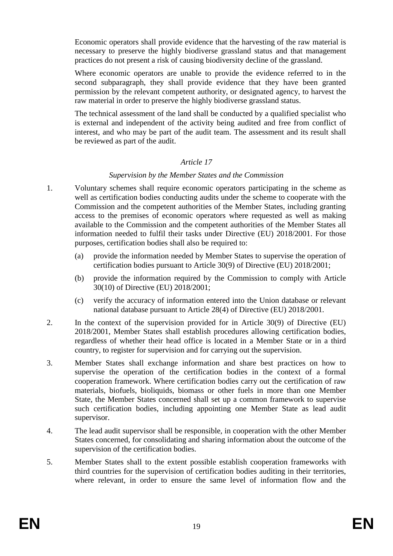Economic operators shall provide evidence that the harvesting of the raw material is necessary to preserve the highly biodiverse grassland status and that management practices do not present a risk of causing biodiversity decline of the grassland.

Where economic operators are unable to provide the evidence referred to in the second subparagraph, they shall provide evidence that they have been granted permission by the relevant competent authority, or designated agency, to harvest the raw material in order to preserve the highly biodiverse grassland status.

The technical assessment of the land shall be conducted by a qualified specialist who is external and independent of the activity being audited and free from conflict of interest, and who may be part of the audit team. The assessment and its result shall be reviewed as part of the audit.

## *Article 17*

#### *Supervision by the Member States and the Commission*

- 1. Voluntary schemes shall require economic operators participating in the scheme as well as certification bodies conducting audits under the scheme to cooperate with the Commission and the competent authorities of the Member States, including granting access to the premises of economic operators where requested as well as making available to the Commission and the competent authorities of the Member States all information needed to fulfil their tasks under Directive (EU) 2018/2001. For those purposes, certification bodies shall also be required to:
	- (a) provide the information needed by Member States to supervise the operation of certification bodies pursuant to Article 30(9) of Directive (EU) 2018/2001;
	- (b) provide the information required by the Commission to comply with Article 30(10) of Directive (EU) 2018/2001;
	- (c) verify the accuracy of information entered into the Union database or relevant national database pursuant to Article 28(4) of Directive (EU) 2018/2001.
- 2. In the context of the supervision provided for in Article 30(9) of Directive (EU) 2018/2001, Member States shall establish procedures allowing certification bodies, regardless of whether their head office is located in a Member State or in a third country, to register for supervision and for carrying out the supervision.
- 3. Member States shall exchange information and share best practices on how to supervise the operation of the certification bodies in the context of a formal cooperation framework. Where certification bodies carry out the certification of raw materials, biofuels, bioliquids, biomass or other fuels in more than one Member State, the Member States concerned shall set up a common framework to supervise such certification bodies, including appointing one Member State as lead audit supervisor.
- 4. The lead audit supervisor shall be responsible, in cooperation with the other Member States concerned, for consolidating and sharing information about the outcome of the supervision of the certification bodies.
- 5. Member States shall to the extent possible establish cooperation frameworks with third countries for the supervision of certification bodies auditing in their territories, where relevant, in order to ensure the same level of information flow and the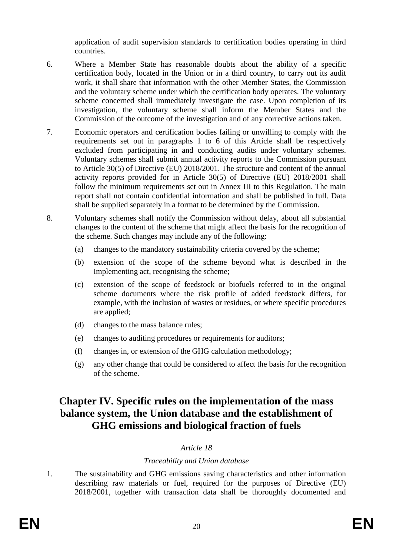application of audit supervision standards to certification bodies operating in third countries.

- 6. Where a Member State has reasonable doubts about the ability of a specific certification body, located in the Union or in a third country, to carry out its audit work, it shall share that information with the other Member States, the Commission and the voluntary scheme under which the certification body operates. The voluntary scheme concerned shall immediately investigate the case. Upon completion of its investigation, the voluntary scheme shall inform the Member States and the Commission of the outcome of the investigation and of any corrective actions taken.
- 7. Economic operators and certification bodies failing or unwilling to comply with the requirements set out in paragraphs 1 to 6 of this Article shall be respectively excluded from participating in and conducting audits under voluntary schemes. Voluntary schemes shall submit annual activity reports to the Commission pursuant to Article 30(5) of Directive (EU) 2018/2001. The structure and content of the annual activity reports provided for in Article 30(5) of Directive (EU) 2018/2001 shall follow the minimum requirements set out in Annex III to this Regulation. The main report shall not contain confidential information and shall be published in full. Data shall be supplied separately in a format to be determined by the Commission.
- 8. Voluntary schemes shall notify the Commission without delay, about all substantial changes to the content of the scheme that might affect the basis for the recognition of the scheme. Such changes may include any of the following:
	- (a) changes to the mandatory sustainability criteria covered by the scheme;
	- (b) extension of the scope of the scheme beyond what is described in the Implementing act, recognising the scheme;
	- (c) extension of the scope of feedstock or biofuels referred to in the original scheme documents where the risk profile of added feedstock differs, for example, with the inclusion of wastes or residues, or where specific procedures are applied;
	- (d) changes to the mass balance rules;
	- (e) changes to auditing procedures or requirements for auditors;
	- (f) changes in, or extension of the GHG calculation methodology;
	- (g) any other change that could be considered to affect the basis for the recognition of the scheme.

# **Chapter IV. Specific rules on the implementation of the mass balance system, the Union database and the establishment of GHG emissions and biological fraction of fuels**

## *Article 18*

## *Traceability and Union database*

1. The sustainability and GHG emissions saving characteristics and other information describing raw materials or fuel, required for the purposes of Directive (EU) 2018/2001, together with transaction data shall be thoroughly documented and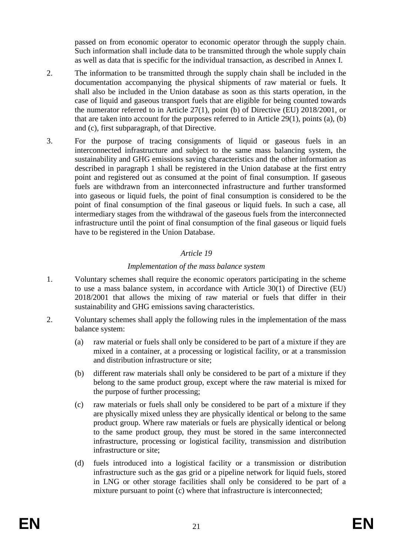passed on from economic operator to economic operator through the supply chain. Such information shall include data to be transmitted through the whole supply chain as well as data that is specific for the individual transaction, as described in Annex I.

- 2. The information to be transmitted through the supply chain shall be included in the documentation accompanying the physical shipments of raw material or fuels. It shall also be included in the Union database as soon as this starts operation, in the case of liquid and gaseous transport fuels that are eligible for being counted towards the numerator referred to in Article 27(1), point (b) of Directive (EU) 2018/2001, or that are taken into account for the purposes referred to in Article 29(1), points (a), (b) and (c), first subparagraph, of that Directive.
- 3. For the purpose of tracing consignments of liquid or gaseous fuels in an interconnected infrastructure and subject to the same mass balancing system, the sustainability and GHG emissions saving characteristics and the other information as described in paragraph 1 shall be registered in the Union database at the first entry point and registered out as consumed at the point of final consumption. If gaseous fuels are withdrawn from an interconnected infrastructure and further transformed into gaseous or liquid fuels, the point of final consumption is considered to be the point of final consumption of the final gaseous or liquid fuels. In such a case, all intermediary stages from the withdrawal of the gaseous fuels from the interconnected infrastructure until the point of final consumption of the final gaseous or liquid fuels have to be registered in the Union Database.

## *Article 19*

## *Implementation of the mass balance system*

- 1. Voluntary schemes shall require the economic operators participating in the scheme to use a mass balance system, in accordance with Article 30(1) of Directive (EU) 2018/2001 that allows the mixing of raw material or fuels that differ in their sustainability and GHG emissions saving characteristics.
- 2. Voluntary schemes shall apply the following rules in the implementation of the mass balance system:
	- (a) raw material or fuels shall only be considered to be part of a mixture if they are mixed in a container, at a processing or logistical facility, or at a transmission and distribution infrastructure or site;
	- (b) different raw materials shall only be considered to be part of a mixture if they belong to the same product group, except where the raw material is mixed for the purpose of further processing;
	- (c) raw materials or fuels shall only be considered to be part of a mixture if they are physically mixed unless they are physically identical or belong to the same product group. Where raw materials or fuels are physically identical or belong to the same product group, they must be stored in the same interconnected infrastructure, processing or logistical facility, transmission and distribution infrastructure or site;
	- (d) fuels introduced into a logistical facility or a transmission or distribution infrastructure such as the gas grid or a pipeline network for liquid fuels, stored in LNG or other storage facilities shall only be considered to be part of a mixture pursuant to point (c) where that infrastructure is interconnected;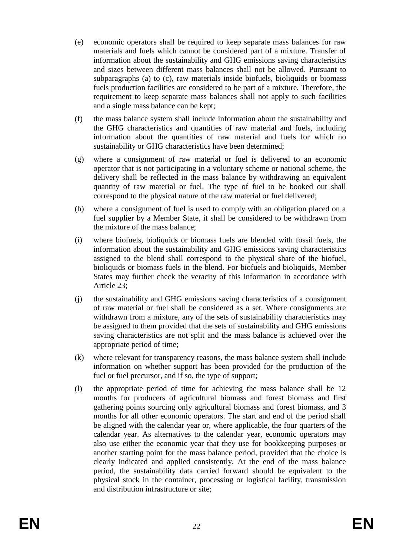- (e) economic operators shall be required to keep separate mass balances for raw materials and fuels which cannot be considered part of a mixture. Transfer of information about the sustainability and GHG emissions saving characteristics and sizes between different mass balances shall not be allowed. Pursuant to subparagraphs (a) to (c), raw materials inside biofuels, bioliquids or biomass fuels production facilities are considered to be part of a mixture. Therefore, the requirement to keep separate mass balances shall not apply to such facilities and a single mass balance can be kept;
- (f) the mass balance system shall include information about the sustainability and the GHG characteristics and quantities of raw material and fuels, including information about the quantities of raw material and fuels for which no sustainability or GHG characteristics have been determined;
- (g) where a consignment of raw material or fuel is delivered to an economic operator that is not participating in a voluntary scheme or national scheme, the delivery shall be reflected in the mass balance by withdrawing an equivalent quantity of raw material or fuel. The type of fuel to be booked out shall correspond to the physical nature of the raw material or fuel delivered;
- (h) where a consignment of fuel is used to comply with an obligation placed on a fuel supplier by a Member State, it shall be considered to be withdrawn from the mixture of the mass balance;
- (i) where biofuels, bioliquids or biomass fuels are blended with fossil fuels, the information about the sustainability and GHG emissions saving characteristics assigned to the blend shall correspond to the physical share of the biofuel, bioliquids or biomass fuels in the blend. For biofuels and bioliquids, Member States may further check the veracity of this information in accordance with Article 23;
- (j) the sustainability and GHG emissions saving characteristics of a consignment of raw material or fuel shall be considered as a set. Where consignments are withdrawn from a mixture, any of the sets of sustainability characteristics may be assigned to them provided that the sets of sustainability and GHG emissions saving characteristics are not split and the mass balance is achieved over the appropriate period of time;
- (k) where relevant for transparency reasons, the mass balance system shall include information on whether support has been provided for the production of the fuel or fuel precursor, and if so, the type of support;
- (l) the appropriate period of time for achieving the mass balance shall be 12 months for producers of agricultural biomass and forest biomass and first gathering points sourcing only agricultural biomass and forest biomass, and 3 months for all other economic operators. The start and end of the period shall be aligned with the calendar year or, where applicable, the four quarters of the calendar year. As alternatives to the calendar year, economic operators may also use either the economic year that they use for bookkeeping purposes or another starting point for the mass balance period, provided that the choice is clearly indicated and applied consistently. At the end of the mass balance period, the sustainability data carried forward should be equivalent to the physical stock in the container, processing or logistical facility, transmission and distribution infrastructure or site;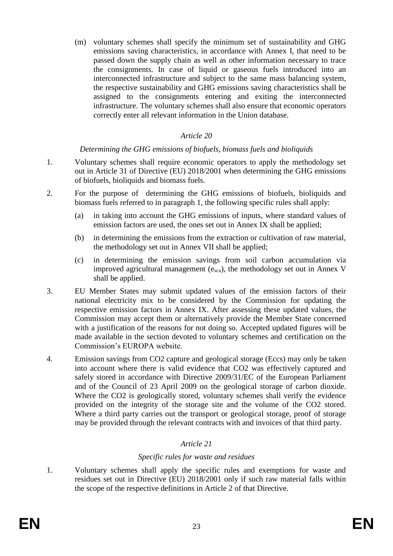(m) voluntary schemes shall specify the minimum set of sustainability and GHG emissions saving characteristics, in accordance with Annex I, that need to be passed down the supply chain as well as other information necessary to trace the consignments. In case of liquid or gaseous fuels introduced into an interconnected infrastructure and subject to the same mass balancing system, the respective sustainability and GHG emissions saving characteristics shall be assigned to the consignments entering and exiting the interconnected infrastructure. The voluntary schemes shall also ensure that economic operators correctly enter all relevant information in the Union database.

### *Article 20*

#### *Determining the GHG emissions of biofuels, biomass fuels and bioliquids*

- 1. Voluntary schemes shall require economic operators to apply the methodology set out in Article 31 of Directive (EU) 2018/2001 when determining the GHG emissions of biofuels, bioliquids and biomass fuels.
- 2. For the purpose of determining the GHG emissions of biofuels, bioliquids and biomass fuels referred to in paragraph 1, the following specific rules shall apply:
	- (a) in taking into account the GHG emissions of inputs, where standard values of emission factors are used, the ones set out in Annex IX shall be applied;
	- (b) in determining the emissions from the extraction or cultivation of raw material, the methodology set out in Annex VII shall be applied;
	- (c) in determining the emission savings from soil carbon accumulation via improved agricultural management (esca), the methodology set out in Annex V shall be applied.
- 3. EU Member States may submit updated values of the emission factors of their national electricity mix to be considered by the Commission for updating the respective emission factors in Annex IX. After assessing these updated values, the Commission may accept them or alternatively provide the Member State concerned with a justification of the reasons for not doing so. Accepted updated figures will be made available in the section devoted to voluntary schemes and certification on the Commission's EUROPA website.
- 4. Emission savings from CO2 capture and geological storage (Eccs) may only be taken into account where there is valid evidence that CO2 was effectively captured and safely stored in accordance with Directive 2009/31/EC of the European Parliament and of the Council of 23 April 2009 on the geological storage of carbon dioxide. Where the CO2 is geologically stored, voluntary schemes shall verify the evidence provided on the integrity of the storage site and the volume of the CO2 stored. Where a third party carries out the transport or geological storage, proof of storage may be provided through the relevant contracts with and invoices of that third party.

## *Article 21*

#### *Specific rules for waste and residues*

1. Voluntary schemes shall apply the specific rules and exemptions for waste and residues set out in Directive (EU) 2018/2001 only if such raw material falls within the scope of the respective definitions in Article 2 of that Directive.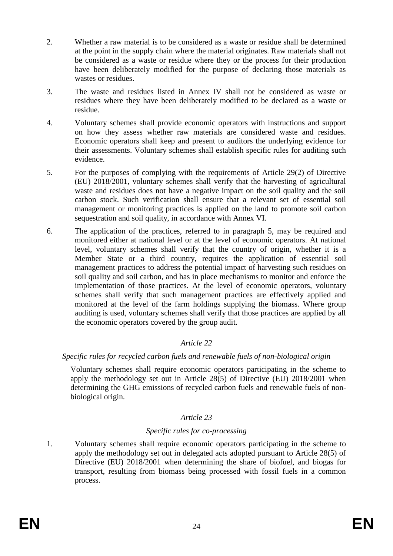- 2. Whether a raw material is to be considered as a waste or residue shall be determined at the point in the supply chain where the material originates. Raw materials shall not be considered as a waste or residue where they or the process for their production have been deliberately modified for the purpose of declaring those materials as wastes or residues.
- 3. The waste and residues listed in Annex IV shall not be considered as waste or residues where they have been deliberately modified to be declared as a waste or residue.
- 4. Voluntary schemes shall provide economic operators with instructions and support on how they assess whether raw materials are considered waste and residues. Economic operators shall keep and present to auditors the underlying evidence for their assessments. Voluntary schemes shall establish specific rules for auditing such evidence.
- 5. For the purposes of complying with the requirements of Article 29(2) of Directive (EU) 2018/2001, voluntary schemes shall verify that the harvesting of agricultural waste and residues does not have a negative impact on the soil quality and the soil carbon stock. Such verification shall ensure that a relevant set of essential soil management or monitoring practices is applied on the land to promote soil carbon sequestration and soil quality, in accordance with Annex VI.
- 6. The application of the practices, referred to in paragraph 5, may be required and monitored either at national level or at the level of economic operators. At national level, voluntary schemes shall verify that the country of origin, whether it is a Member State or a third country, requires the application of essential soil management practices to address the potential impact of harvesting such residues on soil quality and soil carbon, and has in place mechanisms to monitor and enforce the implementation of those practices. At the level of economic operators, voluntary schemes shall verify that such management practices are effectively applied and monitored at the level of the farm holdings supplying the biomass. Where group auditing is used, voluntary schemes shall verify that those practices are applied by all the economic operators covered by the group audit.

## *Specific rules for recycled carbon fuels and renewable fuels of non-biological origin*

Voluntary schemes shall require economic operators participating in the scheme to apply the methodology set out in Article 28(5) of Directive (EU) 2018/2001 when determining the GHG emissions of recycled carbon fuels and renewable fuels of nonbiological origin.

## *Article 23*

## *Specific rules for co-processing*

1. Voluntary schemes shall require economic operators participating in the scheme to apply the methodology set out in delegated acts adopted pursuant to Article 28(5) of Directive (EU) 2018/2001 when determining the share of biofuel, and biogas for transport, resulting from biomass being processed with fossil fuels in a common process.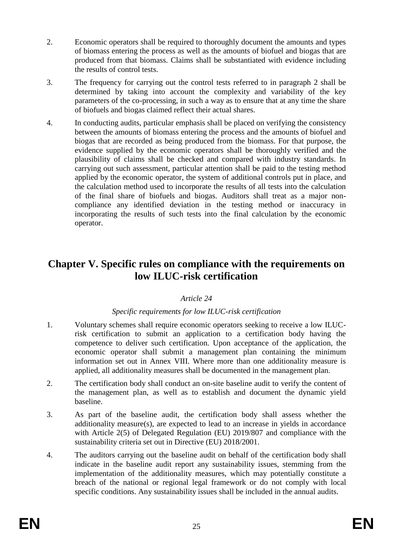- 2. Economic operators shall be required to thoroughly document the amounts and types of biomass entering the process as well as the amounts of biofuel and biogas that are produced from that biomass. Claims shall be substantiated with evidence including the results of control tests.
- 3. The frequency for carrying out the control tests referred to in paragraph 2 shall be determined by taking into account the complexity and variability of the key parameters of the co-processing, in such a way as to ensure that at any time the share of biofuels and biogas claimed reflect their actual shares.
- 4. In conducting audits, particular emphasis shall be placed on verifying the consistency between the amounts of biomass entering the process and the amounts of biofuel and biogas that are recorded as being produced from the biomass. For that purpose, the evidence supplied by the economic operators shall be thoroughly verified and the plausibility of claims shall be checked and compared with industry standards. In carrying out such assessment, particular attention shall be paid to the testing method applied by the economic operator, the system of additional controls put in place, and the calculation method used to incorporate the results of all tests into the calculation of the final share of biofuels and biogas. Auditors shall treat as a major noncompliance any identified deviation in the testing method or inaccuracy in incorporating the results of such tests into the final calculation by the economic operator.

# **Chapter V. Specific rules on compliance with the requirements on low ILUC-risk certification**

## *Article 24*

## *Specific requirements for low ILUC-risk certification*

- 1. Voluntary schemes shall require economic operators seeking to receive a low ILUCrisk certification to submit an application to a certification body having the competence to deliver such certification. Upon acceptance of the application, the economic operator shall submit a management plan containing the minimum information set out in Annex VIII. Where more than one additionality measure is applied, all additionality measures shall be documented in the management plan.
- 2. The certification body shall conduct an on-site baseline audit to verify the content of the management plan, as well as to establish and document the dynamic yield baseline.
- 3. As part of the baseline audit, the certification body shall assess whether the additionality measure(s), are expected to lead to an increase in yields in accordance with Article 2(5) of Delegated Regulation (EU) 2019/807 and compliance with the sustainability criteria set out in Directive (EU) 2018/2001.
- 4. The auditors carrying out the baseline audit on behalf of the certification body shall indicate in the baseline audit report any sustainability issues, stemming from the implementation of the additionality measures, which may potentially constitute a breach of the national or regional legal framework or do not comply with local specific conditions. Any sustainability issues shall be included in the annual audits.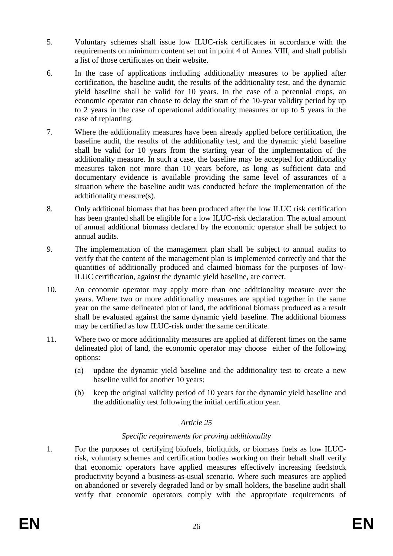- 5. Voluntary schemes shall issue low ILUC-risk certificates in accordance with the requirements on minimum content set out in point 4 of Annex VIII, and shall publish a list of those certificates on their website.
- 6. In the case of applications including additionality measures to be applied after certification, the baseline audit, the results of the additionality test, and the dynamic yield baseline shall be valid for 10 years. In the case of a perennial crops, an economic operator can choose to delay the start of the 10-year validity period by up to 2 years in the case of operational additionality measures or up to 5 years in the case of replanting.
- 7. Where the additionality measures have been already applied before certification, the baseline audit, the results of the additionality test, and the dynamic yield baseline shall be valid for 10 years from the starting year of the implementation of the additionality measure. In such a case, the baseline may be accepted for additionality measures taken not more than 10 years before, as long as sufficient data and documentary evidence is available providing the same level of assurances of a situation where the baseline audit was conducted before the implementation of the addtitionality measure(s).
- 8. Only additional biomass that has been produced after the low ILUC risk certification has been granted shall be eligible for a low ILUC-risk declaration. The actual amount of annual additional biomass declared by the economic operator shall be subject to annual audits.
- 9. The implementation of the management plan shall be subject to annual audits to verify that the content of the management plan is implemented correctly and that the quantities of additionally produced and claimed biomass for the purposes of low-ILUC certification, against the dynamic yield baseline, are correct.
- 10. An economic operator may apply more than one additionality measure over the years. Where two or more additionality measures are applied together in the same year on the same delineated plot of land, the additional biomass produced as a result shall be evaluated against the same dynamic yield baseline. The additional biomass may be certified as low ILUC-risk under the same certificate.
- 11. Where two or more additionality measures are applied at different times on the same delineated plot of land, the economic operator may choose either of the following options:
	- (a) update the dynamic yield baseline and the additionality test to create a new baseline valid for another 10 years;
	- (b) keep the original validity period of 10 years for the dynamic yield baseline and the additionality test following the initial certification year.

## *Specific requirements for proving additionality*

1. For the purposes of certifying biofuels, bioliquids, or biomass fuels as low ILUCrisk, voluntary schemes and certification bodies working on their behalf shall verify that economic operators have applied measures effectively increasing feedstock productivity beyond a business-as-usual scenario. Where such measures are applied on abandoned or severely degraded land or by small holders, the baseline audit shall verify that economic operators comply with the appropriate requirements of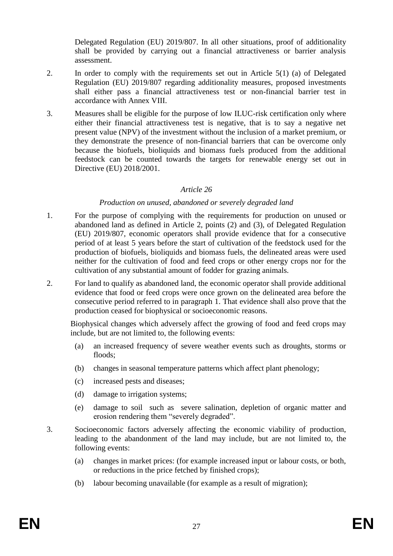Delegated Regulation (EU) 2019/807. In all other situations, proof of additionality shall be provided by carrying out a financial attractiveness or barrier analysis assessment.

- 2. In order to comply with the requirements set out in Article 5(1) (a) of Delegated Regulation (EU) 2019/807 regarding additionality measures, proposed investments shall either pass a financial attractiveness test or non-financial barrier test in accordance with Annex VIII.
- 3. Measures shall be eligible for the purpose of low ILUC-risk certification only where either their financial attractiveness test is negative, that is to say a negative net present value (NPV) of the investment without the inclusion of a market premium, or they demonstrate the presence of non-financial barriers that can be overcome only because the biofuels, bioliquids and biomass fuels produced from the additional feedstock can be counted towards the targets for renewable energy set out in Directive (EU) 2018/2001.

#### *Article 26*

#### *Production on unused, abandoned or severely degraded land*

- 1. For the purpose of complying with the requirements for production on unused or abandoned land as defined in Article 2, points (2) and (3), of Delegated Regulation (EU) 2019/807, economic operators shall provide evidence that for a consecutive period of at least 5 years before the start of cultivation of the feedstock used for the production of biofuels, bioliquids and biomass fuels, the delineated areas were used neither for the cultivation of food and feed crops or other energy crops nor for the cultivation of any substantial amount of fodder for grazing animals.
- 2. For land to qualify as abandoned land, the economic operator shall provide additional evidence that food or feed crops were once grown on the delineated area before the consecutive period referred to in paragraph 1. That evidence shall also prove that the production ceased for biophysical or socioeconomic reasons.

Biophysical changes which adversely affect the growing of food and feed crops may include, but are not limited to, the following events:

- (a) an increased frequency of severe weather events such as droughts, storms or floods;
- (b) changes in seasonal temperature patterns which affect plant phenology;
- (c) increased pests and diseases;
- (d) damage to irrigation systems;
- (e) damage to soil such as severe salination, depletion of organic matter and erosion rendering them "severely degraded".
- 3. Socioeconomic factors adversely affecting the economic viability of production, leading to the abandonment of the land may include, but are not limited to, the following events:
	- (a) changes in market prices: (for example increased input or labour costs, or both, or reductions in the price fetched by finished crops);
	- (b) labour becoming unavailable (for example as a result of migration);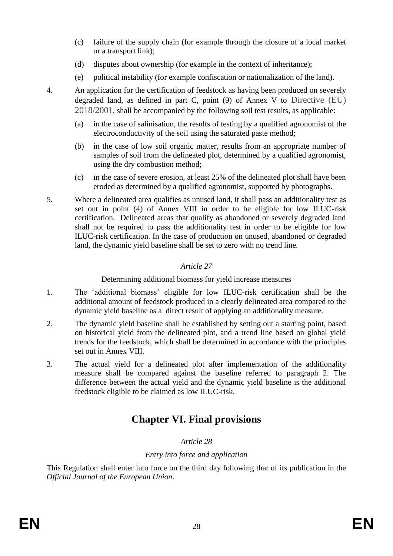- (c) failure of the supply chain (for example through the closure of a local market or a transport link);
- (d) disputes about ownership (for example in the context of inheritance);
- (e) political instability (for example confiscation or nationalization of the land).

- 4. An application for the certification of feedstock as having been produced on severely degraded land, as defined in part C, point (9) of Annex V to Directive (EU) 2018/2001, shall be accompanied by the following soil test results, as applicable:
	- (a) in the case of salinisation, the results of testing by a qualified agronomist of the electroconductivity of the soil using the saturated paste method;
	- (b) in the case of low soil organic matter, results from an appropriate number of samples of soil from the delineated plot, determined by a qualified agronomist, using the dry combustion method;
	- (c) in the case of severe erosion, at least 25% of the delineated plot shall have been eroded as determined by a qualified agronomist, supported by photographs.
- 5. Where a delineated area qualifies as unused land, it shall pass an additionality test as set out in point (4) of Annex VIII in order to be eligible for low ILUC-risk certification. Delineated areas that qualify as abandoned or severely degraded land shall not be required to pass the additionality test in order to be eligible for low ILUC-risk certification. In the case of production on unused, abandoned or degraded land, the dynamic yield baseline shall be set to zero with no trend line.

Determining additional biomass for yield increase measures

- 1. The 'additional biomass' eligible for low ILUC-risk certification shall be the additional amount of feedstock produced in a clearly delineated area compared to the dynamic yield baseline as a direct result of applying an additionality measure.
- 2. The dynamic yield baseline shall be established by setting out a starting point, based on historical yield from the delineated plot, and a trend line based on global yield trends for the feedstock, which shall be determined in accordance with the principles set out in Annex VIII.
- 3. The actual yield for a delineated plot after implementation of the additionality measure shall be compared against the baseline referred to paragraph 2. The difference between the actual yield and the dynamic yield baseline is the additional feedstock eligible to be claimed as low ILUC-risk.

# **Chapter VI. Final provisions**

## *Article 28*

## *Entry into force and application*

This Regulation shall enter into force on the third day following that of its publication in the *Official Journal of the European Union*.